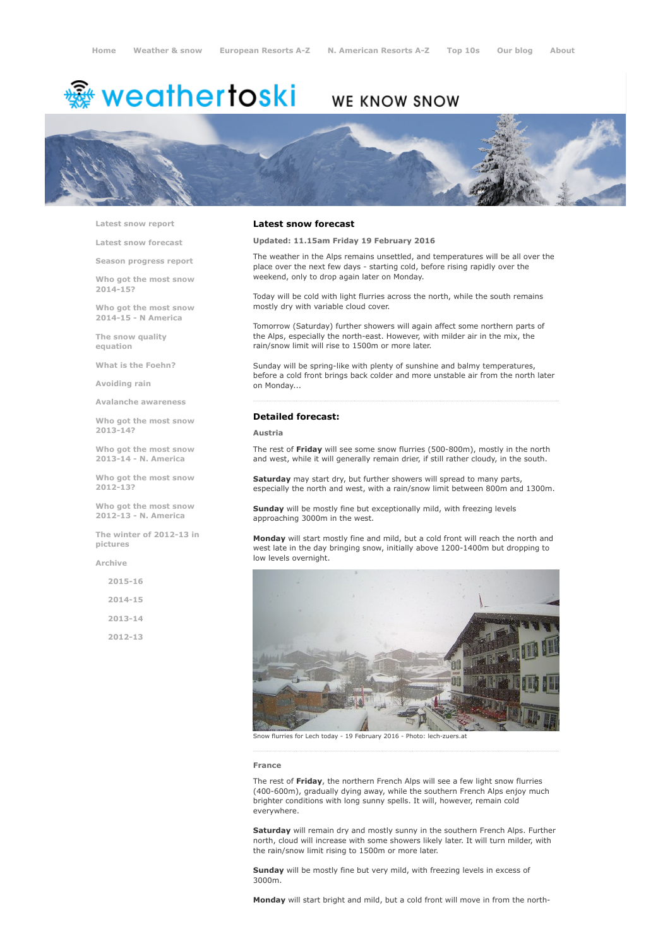# weathertoski ﷺ

## WE KNOW SNOW



Latest snow [report](http://www.weathertoski.co.uk/weather-snow/latest-snow-report/)

Latest snow [forecast](http://www.weathertoski.co.uk/weather-snow/latest-snow-forecast/)

Season [progress](http://www.weathertoski.co.uk/weather-snow/season-progress-report/) report

Who got the most snow 2014-15?

Who got the most snow 2014-15 - N America

The snow quality [equation](http://www.weathertoski.co.uk/weather-snow/the-snow-quality-equation/)

What is the [Foehn?](http://www.weathertoski.co.uk/weather-snow/what-is-the-foehn/)

[Avoiding](http://www.weathertoski.co.uk/weather-snow/avoiding-rain/) rain

Avalanche [awareness](http://www.weathertoski.co.uk/weather-snow/avalanche-awareness/)

Who got the most snow 2013-14?

Who got the most snow 2013-14 - N. America

Who got the most snow 2012-13?

Who got the most snow 2012-13 - N. America

The winter of 2012-13 in pictures

[Archive](http://www.weathertoski.co.uk/weather-snow/archive/)

2015-16 2014-15 2013-14

2012-13

#### Latest snow forecast

Updated: 11.15am Friday 19 February 2016

The weather in the Alps remains unsettled, and temperatures will be all over the place over the next few days - starting cold, before rising rapidly over the weekend, only to drop again later on Monday.

Today will be cold with light flurries across the north, while the south remains mostly dry with variable cloud cover.

Tomorrow (Saturday) further showers will again affect some northern parts of the Alps, especially the north-east. However, with milder air in the mix, the rain/snow limit will rise to 1500m or more later.

Sunday will be spring-like with plenty of sunshine and balmy temperatures, before a cold front brings back colder and more unstable air from the north later on Monday...

#### Detailed forecast:

#### Austria

The rest of Friday will see some snow flurries (500-800m), mostly in the north and west, while it will generally remain drier, if still rather cloudy, in the south.

Saturday may start dry, but further showers will spread to many parts, especially the north and west, with a rain/snow limit between 800m and 1300m.

Sunday will be mostly fine but exceptionally mild, with freezing levels approaching 3000m in the west.

Monday will start mostly fine and mild, but a cold front will reach the north and west late in the day bringing snow, initially above 1200-1400m but dropping to low levels overnight.



Snow flurries for Lech today - 19 February 2016 - Photo: lech-zuers.at

#### France

The rest of Friday, the northern French Alps will see a few light snow flurries (400-600m), gradually dying away, while the southern French Alps enjoy much brighter conditions with long sunny spells. It will, however, remain cold everywhere.

Saturday will remain dry and mostly sunny in the southern French Alps. Further north, cloud will increase with some showers likely later. It will turn milder, with the rain/snow limit rising to 1500m or more later.

Sunday will be mostly fine but very mild, with freezing levels in excess of 3000m.

Monday will start bright and mild, but a cold front will move in from the north-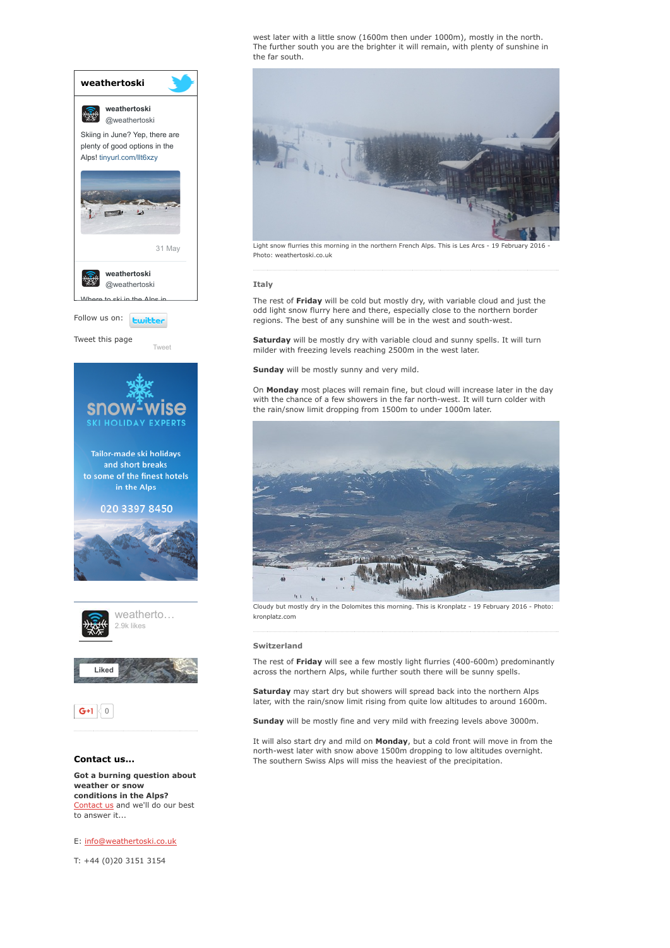

conditions in the Alps? [Contact](http://www.weathertoski.co.uk/about-1/contact-us/) us and we'll do our best to answer it...

E: [info@weathertoski.co.uk](mailto:fraser@weathertoski.co.uk)

T: +44 (0)20 3151 3154

west later with a little snow (1600m then under 1000m), mostly in the north. The further south you are the brighter it will remain, with plenty of sunshine in the far south.



Light snow flurries this morning in the northern French Alps. This is Les Arcs - 19 February 2016 Photo: weathertoski.co.uk

#### Italy

The rest of Friday will be cold but mostly dry, with variable cloud and just the odd light snow flurry here and there, especially close to the northern border regions. The best of any sunshine will be in the west and south-west.

Saturday will be mostly dry with variable cloud and sunny spells. It will turn milder with freezing levels reaching 2500m in the west later.

Sunday will be mostly sunny and very mild.

On Monday most places will remain fine, but cloud will increase later in the day with the chance of a few showers in the far north-west. It will turn colder with the rain/snow limit dropping from 1500m to under 1000m later.



Cloudy but mostly dry in the Dolomites this morning. This is Kronplatz - 19 February 2016 - Photo: kronplatz.com

#### Switzerland

The rest of Friday will see a few mostly light flurries (400-600m) predominantly across the northern Alps, while further south there will be sunny spells.

Saturday may start dry but showers will spread back into the northern Alps later, with the rain/snow limit rising from quite low altitudes to around 1600m.

Sunday will be mostly fine and very mild with freezing levels above 3000m.

It will also start dry and mild on **Monday**, but a cold front will move in from the north-west later with snow above 1500m dropping to low altitudes overnight. The southern Swiss Alps will miss the heaviest of the precipitation.